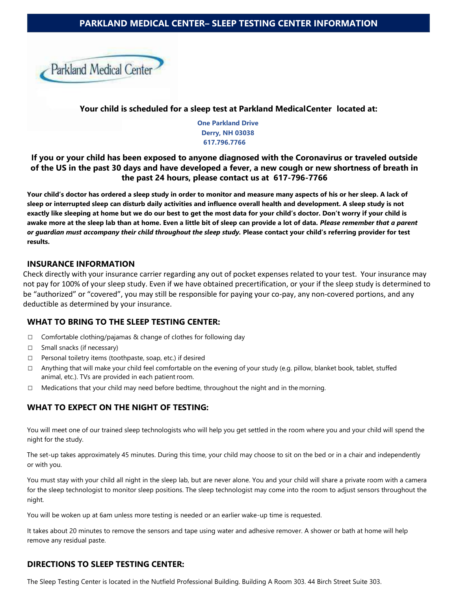# **PARKLAND MEDICAL CENTER– SLEEP TESTING CENTER INFORMATION**



**Your child is scheduled for a sleep test at Parkland MedicalCenter located at:**

**One Parkland Drive Derry, NH 03038 617.796.7766**

## **If you or your child has been exposed to anyone diagnosed with the Coronavirus or traveled outside of the US in the past 30 days and have developed a fever, a new cough or new shortness of breath in the past 24 hours, please contact us at 617-796-7766**

**Your child's doctor has ordered a sleep study in order to monitor and measure many aspects of his or her sleep. A lack of sleep or interrupted sleep can disturb daily activities and influence overall health and development. A sleep study is not exactly like sleeping at home but we do our best to get the most data for your child's doctor. Don't worry if your child is awake more at the sleep lab than at home. Even a little bit of sleep can provide a lot of data.** *Please remember that a parent or guardian must accompany their child throughout the sleep study.* **Please contact your child's referring provider for test results.**

#### **INSURANCE INFORMATION**

Check directly with your insurance carrier regarding any out of pocket expenses related to your test. Your insurance may not pay for 100% of your sleep study. Even if we have obtained precertification, or your if the sleep study is determined to be "authorized" or "covered", you may still be responsible for paying your co-pay, any non-covered portions, and any deductible as determined by your insurance.

### **WHAT TO BRING TO THE SLEEP TESTING CENTER:**

- □ Comfortable clothing/pajamas & change of clothes for following day
- □ Small snacks (if necessary)
- □ Personal toiletry items (toothpaste, soap, etc.) if desired
- □ Anything that will make your child feel comfortable on the evening of your study (e.g. pillow, blanket book, tablet, stuffed animal, etc.). TVs are provided in each patient room.
- $\Box$  Medications that your child may need before bedtime, throughout the night and in the morning.

### **WHAT TO EXPECT ON THE NIGHT OF TESTING:**

You will meet one of our trained sleep technologists who will help you get settled in the room where you and your child will spend the night for the study.

The set-up takes approximately 45 minutes. During this time, your child may choose to sit on the bed or in a chair and independently or with you.

You must stay with your child all night in the sleep lab, but are never alone. You and your child will share a private room with a camera for the sleep technologist to monitor sleep positions. The sleep technologist may come into the room to adjust sensors throughout the night.

You will be woken up at 6am unless more testing is needed or an earlier wake-up time is requested.

It takes about 20 minutes to remove the sensors and tape using water and adhesive remover. A shower or bath at home will help remove any residual paste.

### **DIRECTIONS TO SLEEP TESTING CENTER:**

The Sleep Testing Center is located in the Nutfield Professional Building. Building A Room 303. 44 Birch Street Suite 303.